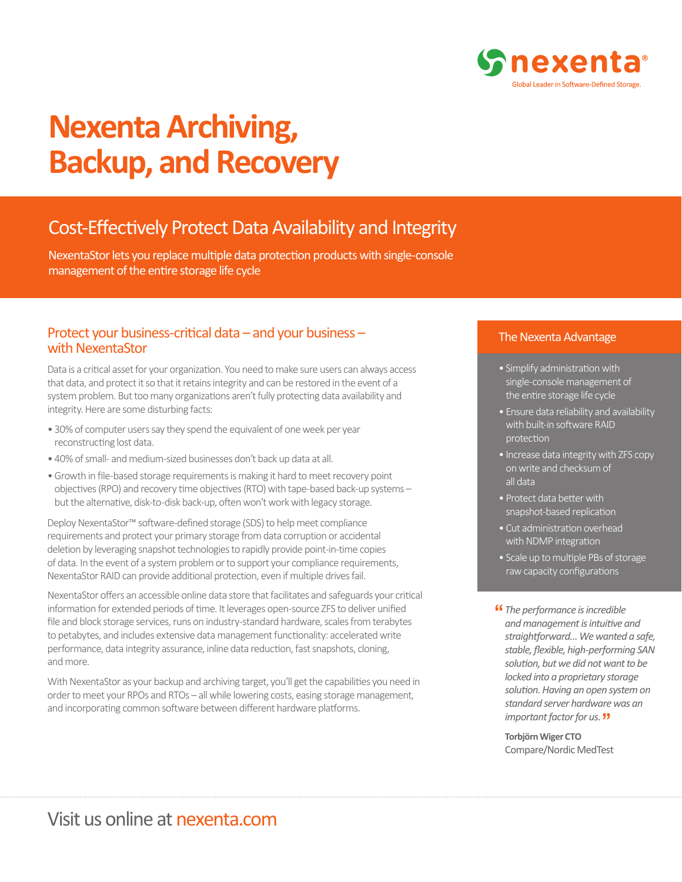

# **Nexenta Archiving, Backup, and Recovery**

# Cost-Effectively Protect Data Availability and Integrity

NexentaStor lets you replace multiple data protection products with single-console management of the entire storage life cycle

# Protect your business-critical data – and your business – with NexentaStor

Data is a critical asset for your organization. You need to make sure users can always access that data, and protect it so that it retains integrity and can be restored in the event of a system problem. But too many organizations aren't fully protecting data availability and integrity. Here are some disturbing facts:

- 30% of computer users say they spend the equivalent of one week per year reconstructing lost data.
- 40% of small- and medium-sized businesses don't back up data at all.
- Growth in file-based storage requirements is making it hard to meet recovery point objectives (RPO) and recovery time objectives (RTO) with tape-based back-up systems – but the alternative, disk-to-disk back-up, often won't work with legacy storage.

Deploy NexentaStor™ software-defined storage (SDS) to help meet compliance requirements and protect your primary storage from data corruption or accidental deletion by leveraging snapshot technologies to rapidly provide point-in-time copies of data. In the event of a system problem or to support your compliance requirements, NexentaStor RAID can provide additional protection, even if multiple drives fail.

NexentaStor offers an accessible online data store that facilitates and safeguards your critical information for extended periods of time. It leverages open-source ZFS to deliver unified file and block storage services, runs on industry-standard hardware, scales from terabytes to petabytes, and includes extensive data management functionality: accelerated write performance, data integrity assurance, inline data reduction, fast snapshots, cloning, and more.

With NexentaStor as your backup and archiving target, you'll get the capabilities you need in order to meet your RPOs and RTOs – all while lowering costs, easing storage management, and incorporating common software between different hardware platforms.

#### The Nexenta Advantage

- Simplify administration with single-console management of the entire storage life cycle
- Ensure data reliability and availability with built-in software RAID protection
- Increase data integrity with ZFS copy on write and checksum of all data
- Protect data better with snapshot-based replication
- Cut administration overhead with NDMP integration
- Scale up to multiple PBs of storage raw capacity configurations
- *The performance is incredible*  **"***and management is intuitive and straightforward… We wanted a safe, stable, flexible, high-performing SAN solution, but we did not want to be locked into a proprietary storage solution. Having an open system on standard server hardware was an important factor for us.*  **"**

**Torbjörn Wiger CTO**  Compare/Nordic MedTest